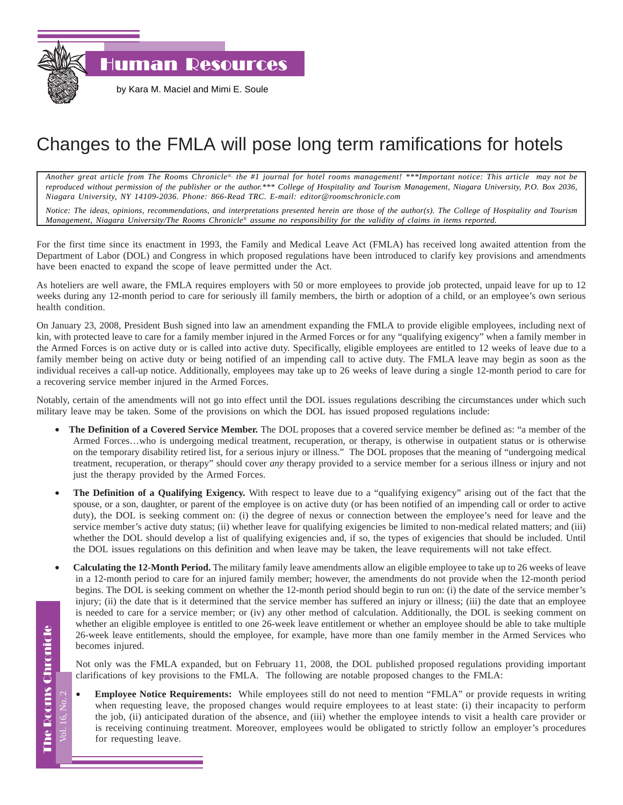

by Kara M. Maciel and Mimi E. Soule

## Changes to the FMLA will pose long term ramifications for hotels

*Another great article from The Rooms Chronicle*®*, the #1 journal for hotel rooms management! \*\*\*Important notice: This article may not be reproduced without permission of the publisher or the author.\*\*\* College of Hospitality and Tourism Management, Niagara University, P.O. Box 2036, Niagara University, NY 14109-2036. Phone: 866-Read TRC. E-mail: editor@roomschronicle.com*

*Notice: The ideas, opinions, recommendations, and interpretations presented herein are those of the author(s). The College of Hospitality and Tourism Management, Niagara University/The Rooms Chronicle*® *assume no responsibility for the validity of claims in items reported.*

For the first time since its enactment in 1993, the Family and Medical Leave Act (FMLA) has received long awaited attention from the Department of Labor (DOL) and Congress in which proposed regulations have been introduced to clarify key provisions and amendments have been enacted to expand the scope of leave permitted under the Act.

As hoteliers are well aware, the FMLA requires employers with 50 or more employees to provide job protected, unpaid leave for up to 12 weeks during any 12-month period to care for seriously ill family members, the birth or adoption of a child, or an employee's own serious health condition.

On January 23, 2008, President Bush signed into law an amendment expanding the FMLA to provide eligible employees, including next of kin, with protected leave to care for a family member injured in the Armed Forces or for any "qualifying exigency" when a family member in the Armed Forces is on active duty or is called into active duty. Specifically, eligible employees are entitled to 12 weeks of leave due to a family member being on active duty or being notified of an impending call to active duty. The FMLA leave may begin as soon as the individual receives a call-up notice. Additionally, employees may take up to 26 weeks of leave during a single 12-month period to care for a recovering service member injured in the Armed Forces.

Notably, certain of the amendments will not go into effect until the DOL issues regulations describing the circumstances under which such military leave may be taken. Some of the provisions on which the DOL has issued proposed regulations include:

- **The Definition of a Covered Service Member.** The DOL proposes that a covered service member be defined as: "a member of the Armed Forces…who is undergoing medical treatment, recuperation, or therapy, is otherwise in outpatient status or is otherwise on the temporary disability retired list, for a serious injury or illness." The DOL proposes that the meaning of "undergoing medical treatment, recuperation, or therapy" should cover *any* therapy provided to a service member for a serious illness or injury and not just the therapy provided by the Armed Forces.
- **The Definition of a Qualifying Exigency.** With respect to leave due to a "qualifying exigency" arising out of the fact that the spouse, or a son, daughter, or parent of the employee is on active duty (or has been notified of an impending call or order to active duty), the DOL is seeking comment on: (i) the degree of nexus or connection between the employee's need for leave and the service member's active duty status; (ii) whether leave for qualifying exigencies be limited to non-medical related matters; and (iii) whether the DOL should develop a list of qualifying exigencies and, if so, the types of exigencies that should be included. Until the DOL issues regulations on this definition and when leave may be taken, the leave requirements will not take effect.
- **Calculating the 12-Month Period.** The military family leave amendments allow an eligible employee to take up to 26 weeks of leave in a 12-month period to care for an injured family member; however, the amendments do not provide when the 12-month period begins. The DOL is seeking comment on whether the 12-month period should begin to run on: (i) the date of the service member's injury; (ii) the date that is it determined that the service member has suffered an injury or illness; (iii) the date that an employee is needed to care for a service member; or (iv) any other method of calculation. Additionally, the DOL is seeking comment on whether an eligible employee is entitled to one 26-week leave entitlement or whether an employee should be able to take multiple 26-week leave entitlements, should the employee, for example, have more than one family member in the Armed Services who becomes injured.

Not only was the FMLA expanded, but on February 11, 2008, the DOL published proposed regulations providing important clarifications of key provisions to the FMLA. The following are notable proposed changes to the FMLA:

• **Employee Notice Requirements:** While employees still do not need to mention "FMLA" or provide requests in writing when requesting leave, the proposed changes would require employees to at least state: (i) their incapacity to perform the job, (ii) anticipated duration of the absence, and (iii) whether the employee intends to visit a health care provider or is receiving continuing treatment. Moreover, employees would be obligated to strictly follow an employer's procedures for requesting leave.

**The Rooms Chronicle** The Rooms Chronicle

Vol. 16, No. 2

7 ol. 16. No. 2